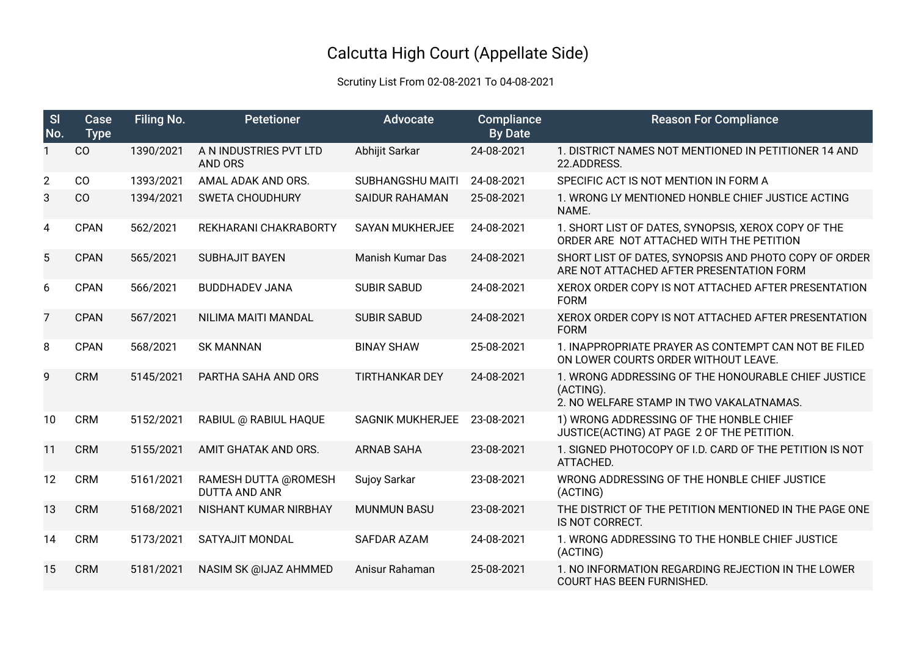## Calcutta High Court (Appellate Side)

## Scrutiny List From 02-08-2021 To 04-08-2021

| SI<br>No.      | Case<br><b>Type</b> | <b>Filing No.</b> | <b>Petetioner</b>                            | <b>Advocate</b>         | Compliance<br><b>By Date</b> | <b>Reason For Compliance</b>                                                                                 |
|----------------|---------------------|-------------------|----------------------------------------------|-------------------------|------------------------------|--------------------------------------------------------------------------------------------------------------|
| 1              | CO                  | 1390/2021         | A N INDUSTRIES PVT LTD<br><b>AND ORS</b>     | Abhijit Sarkar          | 24-08-2021                   | 1. DISTRICT NAMES NOT MENTIONED IN PETITIONER 14 AND<br>22.ADDRESS.                                          |
| $\overline{2}$ | CO                  | 1393/2021         | AMAL ADAK AND ORS.                           | SUBHANGSHU MAITI        | 24-08-2021                   | SPECIFIC ACT IS NOT MENTION IN FORM A                                                                        |
| 3              | CO                  | 1394/2021         | <b>SWETA CHOUDHURY</b>                       | <b>SAIDUR RAHAMAN</b>   | 25-08-2021                   | 1. WRONG LY MENTIONED HONBLE CHIEF JUSTICE ACTING<br>NAME.                                                   |
| 4              | <b>CPAN</b>         | 562/2021          | REKHARANI CHAKRABORTY                        | <b>SAYAN MUKHERJEE</b>  | 24-08-2021                   | 1. SHORT LIST OF DATES, SYNOPSIS, XEROX COPY OF THE<br>ORDER ARE NOT ATTACHED WITH THE PETITION              |
| 5              | <b>CPAN</b>         | 565/2021          | <b>SUBHAJIT BAYEN</b>                        | <b>Manish Kumar Das</b> | 24-08-2021                   | SHORT LIST OF DATES, SYNOPSIS AND PHOTO COPY OF ORDER<br>ARE NOT ATTACHED AFTER PRESENTATION FORM            |
| 6              | <b>CPAN</b>         | 566/2021          | <b>BUDDHADEV JANA</b>                        | <b>SUBIR SABUD</b>      | 24-08-2021                   | XEROX ORDER COPY IS NOT ATTACHED AFTER PRESENTATION<br><b>FORM</b>                                           |
| 7              | <b>CPAN</b>         | 567/2021          | NILIMA MAITI MANDAL                          | <b>SUBIR SABUD</b>      | 24-08-2021                   | XEROX ORDER COPY IS NOT ATTACHED AFTER PRESENTATION<br><b>FORM</b>                                           |
| 8              | <b>CPAN</b>         | 568/2021          | <b>SK MANNAN</b>                             | <b>BINAY SHAW</b>       | 25-08-2021                   | 1. INAPPROPRIATE PRAYER AS CONTEMPT CAN NOT BE FILED<br>ON LOWER COURTS ORDER WITHOUT LEAVE.                 |
| 9              | <b>CRM</b>          | 5145/2021         | PARTHA SAHA AND ORS                          | <b>TIRTHANKAR DEY</b>   | 24-08-2021                   | 1. WRONG ADDRESSING OF THE HONOURABLE CHIEF JUSTICE<br>(ACTING).<br>2. NO WELFARE STAMP IN TWO VAKALATNAMAS. |
| 10             | <b>CRM</b>          | 5152/2021         | RABIUL @ RABIUL HAQUE                        | <b>SAGNIK MUKHERJEE</b> | 23-08-2021                   | 1) WRONG ADDRESSING OF THE HONBLE CHIEF<br>JUSTICE(ACTING) AT PAGE 2 OF THE PETITION.                        |
| 11             | <b>CRM</b>          | 5155/2021         | AMIT GHATAK AND ORS.                         | <b>ARNAB SAHA</b>       | 23-08-2021                   | 1. SIGNED PHOTOCOPY OF I.D. CARD OF THE PETITION IS NOT<br>ATTACHED.                                         |
| 12             | <b>CRM</b>          | 5161/2021         | RAMESH DUTTA @ROMESH<br><b>DUTTA AND ANR</b> | Sujoy Sarkar            | 23-08-2021                   | WRONG ADDRESSING OF THE HONBLE CHIEF JUSTICE<br>(ACTING)                                                     |
| 13             | <b>CRM</b>          | 5168/2021         | NISHANT KUMAR NIRBHAY                        | <b>MUNMUN BASU</b>      | 23-08-2021                   | THE DISTRICT OF THE PETITION MENTIONED IN THE PAGE ONE<br>IS NOT CORRECT.                                    |
| 14             | <b>CRM</b>          | 5173/2021         | <b>SATYAJIT MONDAL</b>                       | <b>SAFDAR AZAM</b>      | 24-08-2021                   | 1. WRONG ADDRESSING TO THE HONBLE CHIEF JUSTICE<br>(ACTING)                                                  |
| 15             | <b>CRM</b>          | 5181/2021         | <b>NASIM SK @IJAZ AHMMED</b>                 | Anisur Rahaman          | 25-08-2021                   | 1. NO INFORMATION REGARDING REJECTION IN THE LOWER<br>COURT HAS BEEN FURNISHED.                              |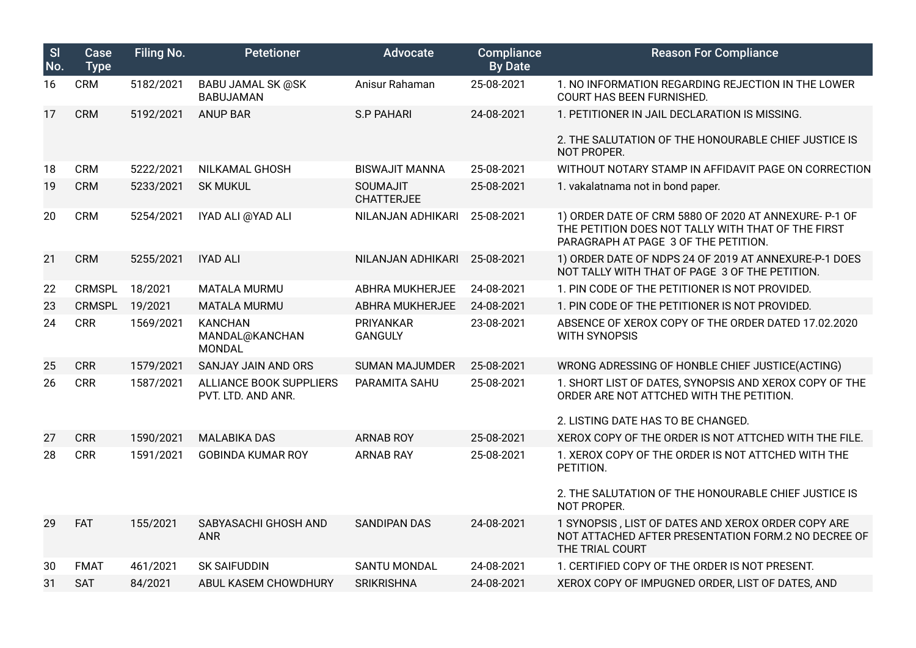| SI<br>No. | Case<br><b>Type</b> | Filing No. | <b>Petetioner</b>                                 | <b>Advocate</b>                      | Compliance<br><b>By Date</b> | <b>Reason For Compliance</b>                                                                                                                        |
|-----------|---------------------|------------|---------------------------------------------------|--------------------------------------|------------------------------|-----------------------------------------------------------------------------------------------------------------------------------------------------|
| 16        | <b>CRM</b>          | 5182/2021  | <b>BABU JAMAL SK @SK</b><br><b>BABUJAMAN</b>      | Anisur Rahaman                       | 25-08-2021                   | 1. NO INFORMATION REGARDING REJECTION IN THE LOWER<br>COURT HAS BEEN FURNISHED.                                                                     |
| 17        | <b>CRM</b>          | 5192/2021  | <b>ANUP BAR</b>                                   | <b>S.P PAHARI</b>                    | 24-08-2021                   | 1. PETITIONER IN JAIL DECLARATION IS MISSING.                                                                                                       |
|           |                     |            |                                                   |                                      |                              | 2. THE SALUTATION OF THE HONOURABLE CHIEF JUSTICE IS<br>NOT PROPER.                                                                                 |
| 18        | <b>CRM</b>          | 5222/2021  | NILKAMAL GHOSH                                    | <b>BISWAJIT MANNA</b>                | 25-08-2021                   | WITHOUT NOTARY STAMP IN AFFIDAVIT PAGE ON CORRECTION                                                                                                |
| 19        | <b>CRM</b>          | 5233/2021  | <b>SK MUKUL</b>                                   | <b>SOUMAJIT</b><br><b>CHATTERJEE</b> | 25-08-2021                   | 1. vakalatnama not in bond paper.                                                                                                                   |
| 20        | <b>CRM</b>          | 5254/2021  | IYAD ALI @YAD ALI                                 | NILANJAN ADHIKARI                    | 25-08-2021                   | 1) ORDER DATE OF CRM 5880 OF 2020 AT ANNEXURE- P-1 OF<br>THE PETITION DOES NOT TALLY WITH THAT OF THE FIRST<br>PARAGRAPH AT PAGE 3 OF THE PETITION. |
| 21        | <b>CRM</b>          | 5255/2021  | <b>IYAD ALI</b>                                   | NILANJAN ADHIKARI                    | 25-08-2021                   | 1) ORDER DATE OF NDPS 24 OF 2019 AT ANNEXURE-P-1 DOES<br>NOT TALLY WITH THAT OF PAGE 3 OF THE PETITION.                                             |
| 22        | <b>CRMSPL</b>       | 18/2021    | <b>MATALA MURMU</b>                               | ABHRA MUKHERJEE                      | 24-08-2021                   | 1. PIN CODE OF THE PETITIONER IS NOT PROVIDED.                                                                                                      |
| 23        | <b>CRMSPL</b>       | 19/2021    | <b>MATALA MURMU</b>                               | ABHRA MUKHERJEE                      | 24-08-2021                   | 1. PIN CODE OF THE PETITIONER IS NOT PROVIDED.                                                                                                      |
| 24        | <b>CRR</b>          | 1569/2021  | <b>KANCHAN</b><br>MANDAL@KANCHAN<br><b>MONDAL</b> | <b>PRIYANKAR</b><br><b>GANGULY</b>   | 23-08-2021                   | ABSENCE OF XEROX COPY OF THE ORDER DATED 17.02.2020<br>WITH SYNOPSIS                                                                                |
| 25        | <b>CRR</b>          | 1579/2021  | SANJAY JAIN AND ORS                               | <b>SUMAN MAJUMDER</b>                | 25-08-2021                   | WRONG ADRESSING OF HONBLE CHIEF JUSTICE(ACTING)                                                                                                     |
| 26        | <b>CRR</b>          | 1587/2021  | ALLIANCE BOOK SUPPLIERS<br>PVT. LTD. AND ANR.     | PARAMITA SAHU                        | 25-08-2021                   | 1. SHORT LIST OF DATES, SYNOPSIS AND XEROX COPY OF THE<br>ORDER ARE NOT ATTCHED WITH THE PETITION.                                                  |
|           |                     |            |                                                   |                                      |                              | 2. LISTING DATE HAS TO BE CHANGED.                                                                                                                  |
| 27        | <b>CRR</b>          | 1590/2021  | <b>MALABIKA DAS</b>                               | <b>ARNAB ROY</b>                     | 25-08-2021                   | XEROX COPY OF THE ORDER IS NOT ATTCHED WITH THE FILE.                                                                                               |
| 28        | <b>CRR</b>          | 1591/2021  | <b>GOBINDA KUMAR ROY</b>                          | <b>ARNAB RAY</b>                     | 25-08-2021                   | 1. XEROX COPY OF THE ORDER IS NOT ATTCHED WITH THE<br>PETITION.                                                                                     |
|           |                     |            |                                                   |                                      |                              | 2. THE SALUTATION OF THE HONOURABLE CHIEF JUSTICE IS<br>NOT PROPER.                                                                                 |
| 29        | <b>FAT</b>          | 155/2021   | SABYASACHI GHOSH AND<br><b>ANR</b>                | <b>SANDIPAN DAS</b>                  | 24-08-2021                   | 1 SYNOPSIS, LIST OF DATES AND XEROX ORDER COPY ARE<br>NOT ATTACHED AFTER PRESENTATION FORM.2 NO DECREE OF<br>THE TRIAL COURT                        |
| 30        | <b>FMAT</b>         | 461/2021   | <b>SK SAIFUDDIN</b>                               | <b>SANTU MONDAL</b>                  | 24-08-2021                   | 1. CERTIFIED COPY OF THE ORDER IS NOT PRESENT.                                                                                                      |
| 31        | <b>SAT</b>          | 84/2021    | ABUL KASEM CHOWDHURY                              | <b>SRIKRISHNA</b>                    | 24-08-2021                   | XEROX COPY OF IMPUGNED ORDER, LIST OF DATES, AND                                                                                                    |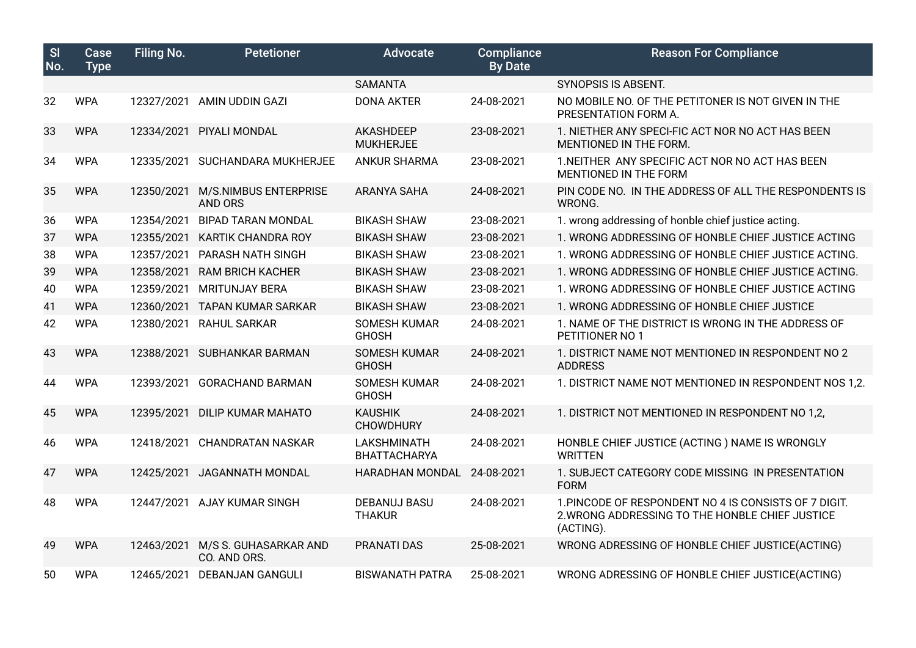| SI<br>No. | Case<br><b>Type</b> | <b>Filing No.</b> | <b>Petetioner</b>                     | <b>Advocate</b>                      | Compliance<br><b>By Date</b> | <b>Reason For Compliance</b>                                                                                          |
|-----------|---------------------|-------------------|---------------------------------------|--------------------------------------|------------------------------|-----------------------------------------------------------------------------------------------------------------------|
|           |                     |                   |                                       | <b>SAMANTA</b>                       |                              | <b>SYNOPSIS IS ABSENT.</b>                                                                                            |
| 32        | <b>WPA</b>          |                   | 12327/2021 AMIN UDDIN GAZI            | <b>DONA AKTER</b>                    | 24-08-2021                   | NO MOBILE NO. OF THE PETITONER IS NOT GIVEN IN THE<br>PRESENTATION FORM A.                                            |
| 33        | <b>WPA</b>          | 12334/2021        | PIYALI MONDAL                         | AKASHDEEP<br><b>MUKHERJEE</b>        | 23-08-2021                   | 1. NIETHER ANY SPECI-FIC ACT NOR NO ACT HAS BEEN<br>MENTIONED IN THE FORM.                                            |
| 34        | <b>WPA</b>          | 12335/2021        | SUCHANDARA MUKHERJEE                  | <b>ANKUR SHARMA</b>                  | 23-08-2021                   | 1. NEITHER ANY SPECIFIC ACT NOR NO ACT HAS BEEN<br>MENTIONED IN THE FORM                                              |
| 35        | <b>WPA</b>          | 12350/2021        | M/S.NIMBUS ENTERPRISE<br>AND ORS      | <b>ARANYA SAHA</b>                   | 24-08-2021                   | PIN CODE NO. IN THE ADDRESS OF ALL THE RESPONDENTS IS<br>WRONG.                                                       |
| 36        | <b>WPA</b>          | 12354/2021        | <b>BIPAD TARAN MONDAL</b>             | <b>BIKASH SHAW</b>                   | 23-08-2021                   | 1. wrong addressing of honble chief justice acting.                                                                   |
| 37        | <b>WPA</b>          | 12355/2021        | <b>KARTIK CHANDRA ROY</b>             | <b>BIKASH SHAW</b>                   | 23-08-2021                   | 1. WRONG ADDRESSING OF HONBLE CHIEF JUSTICE ACTING                                                                    |
| 38        | <b>WPA</b>          | 12357/2021        | PARASH NATH SINGH                     | <b>BIKASH SHAW</b>                   | 23-08-2021                   | 1. WRONG ADDRESSING OF HONBLE CHIEF JUSTICE ACTING.                                                                   |
| 39        | <b>WPA</b>          | 12358/2021        | <b>RAM BRICH KACHER</b>               | <b>BIKASH SHAW</b>                   | 23-08-2021                   | 1. WRONG ADDRESSING OF HONBLE CHIEF JUSTICE ACTING.                                                                   |
| 40        | <b>WPA</b>          | 12359/2021        | <b>MRITUNJAY BERA</b>                 | <b>BIKASH SHAW</b>                   | 23-08-2021                   | 1. WRONG ADDRESSING OF HONBLE CHIEF JUSTICE ACTING                                                                    |
| 41        | <b>WPA</b>          | 12360/2021        | <b>TAPAN KUMAR SARKAR</b>             | <b>BIKASH SHAW</b>                   | 23-08-2021                   | 1. WRONG ADDRESSING OF HONBLE CHIEF JUSTICE                                                                           |
| 42        | <b>WPA</b>          | 12380/2021        | <b>RAHUL SARKAR</b>                   | SOMESH KUMAR<br><b>GHOSH</b>         | 24-08-2021                   | 1. NAME OF THE DISTRICT IS WRONG IN THE ADDRESS OF<br>PETITIONER NO 1                                                 |
| 43        | <b>WPA</b>          | 12388/2021        | <b>SUBHANKAR BARMAN</b>               | <b>SOMESH KUMAR</b><br><b>GHOSH</b>  | 24-08-2021                   | 1. DISTRICT NAME NOT MENTIONED IN RESPONDENT NO 2<br><b>ADDRESS</b>                                                   |
| 44        | <b>WPA</b>          | 12393/2021        | <b>GORACHAND BARMAN</b>               | <b>SOMESH KUMAR</b><br><b>GHOSH</b>  | 24-08-2021                   | 1. DISTRICT NAME NOT MENTIONED IN RESPONDENT NOS 1,2.                                                                 |
| 45        | <b>WPA</b>          | 12395/2021        | <b>DILIP KUMAR MAHATO</b>             | <b>KAUSHIK</b><br><b>CHOWDHURY</b>   | 24-08-2021                   | 1. DISTRICT NOT MENTIONED IN RESPONDENT NO 1,2,                                                                       |
| 46        | <b>WPA</b>          | 12418/2021        | <b>CHANDRATAN NASKAR</b>              | <b>LAKSHMINATH</b><br>BHATTACHARYA   | 24-08-2021                   | HONBLE CHIEF JUSTICE (ACTING) NAME IS WRONGLY<br><b>WRITTEN</b>                                                       |
| 47        | <b>WPA</b>          |                   | 12425/2021 JAGANNATH MONDAL           | HARADHAN MONDAL                      | 24-08-2021                   | 1. SUBJECT CATEGORY CODE MISSING IN PRESENTATION<br><b>FORM</b>                                                       |
| 48        | <b>WPA</b>          |                   | 12447/2021 AJAY KUMAR SINGH           | <b>DEBANUJ BASU</b><br><b>THAKUR</b> | 24-08-2021                   | 1. PINCODE OF RESPONDENT NO 4 IS CONSISTS OF 7 DIGIT.<br>2. WRONG ADDRESSING TO THE HONBLE CHIEF JUSTICE<br>(ACTING). |
| 49        | <b>WPA</b>          | 12463/2021        | M/S S. GUHASARKAR AND<br>CO. AND ORS. | <b>PRANATI DAS</b>                   | 25-08-2021                   | WRONG ADRESSING OF HONBLE CHIEF JUSTICE(ACTING)                                                                       |
| 50        | <b>WPA</b>          |                   | 12465/2021 DEBANJAN GANGULI           | <b>BISWANATH PATRA</b>               | 25-08-2021                   | WRONG ADRESSING OF HONBLE CHIEF JUSTICE(ACTING)                                                                       |